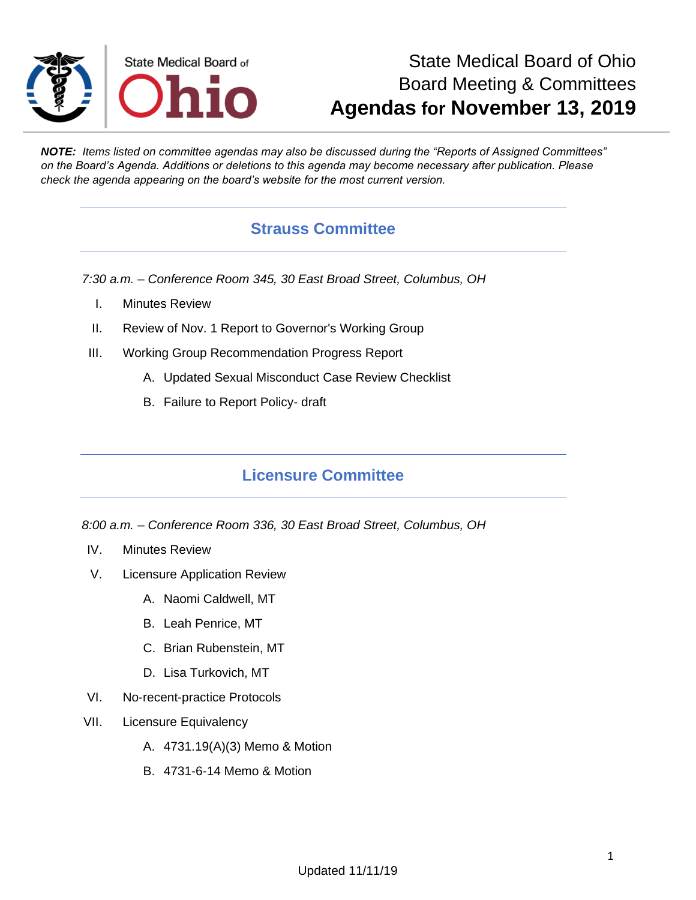

# State Medical Board of Ohio Board Meeting & Committees **Agendas for November 13, 2019**

*NOTE: Items listed on committee agendas may also be discussed during the "Reports of Assigned Committees" on the Board's Agenda. Additions or deletions to this agenda may become necessary after publication. Please check the agenda appearing on the board's website for the most current version.*

## **Strauss Committee**

*7:30 a.m. – Conference Room 345, 30 East Broad Street, Columbus, OH*

- I. Minutes Review
- II. Review of Nov. 1 Report to Governor's Working Group
- III. Working Group Recommendation Progress Report
	- A. Updated Sexual Misconduct Case Review Checklist
	- B. Failure to Report Policy- draft

### **Licensure Committee**

*8:00 a.m. – Conference Room 336, 30 East Broad Street, Columbus, OH*

- IV. Minutes Review
- V. Licensure Application Review
	- A. Naomi Caldwell, MT
	- B. Leah Penrice, MT
	- C. Brian Rubenstein, MT
	- D. Lisa Turkovich, MT
- VI. No-recent-practice Protocols
- VII. Licensure Equivalency
	- A. 4731.19(A)(3) Memo & Motion
	- B. 4731-6-14 Memo & Motion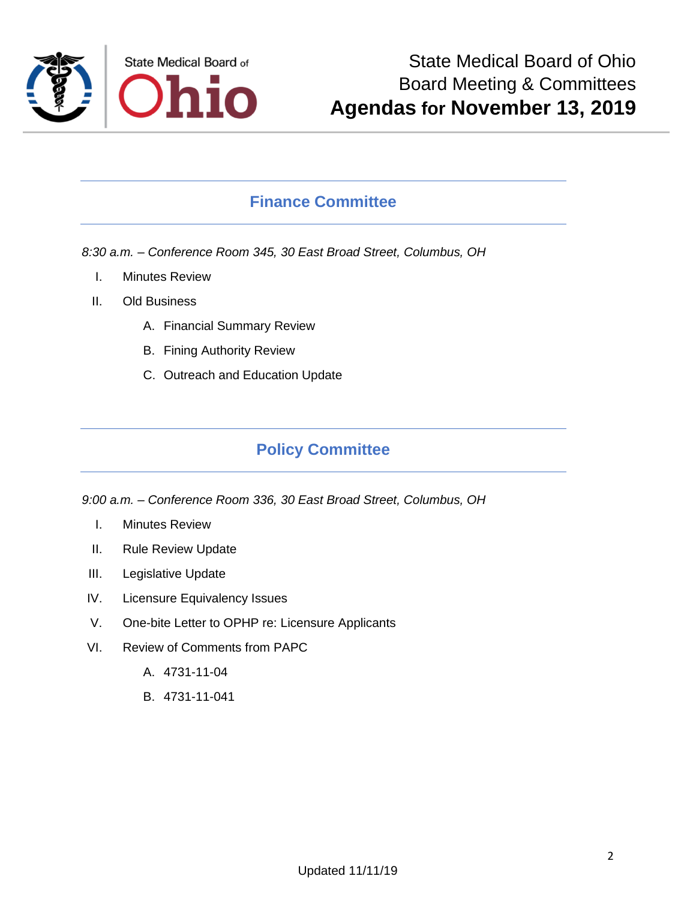

# **Finance Committee**

*8:30 a.m. – Conference Room 345, 30 East Broad Street, Columbus, OH*

- I. Minutes Review
- II. Old Business
	- A. Financial Summary Review
	- B. Fining Authority Review
	- C. Outreach and Education Update

## **Policy Committee**

*9:00 a.m. – Conference Room 336, 30 East Broad Street, Columbus, OH*

- I. Minutes Review
- II. Rule Review Update
- III. Legislative Update
- IV. Licensure Equivalency Issues
- V. One-bite Letter to OPHP re: Licensure Applicants
- VI. Review of Comments from PAPC
	- A. 4731-11-04
	- B. 4731-11-041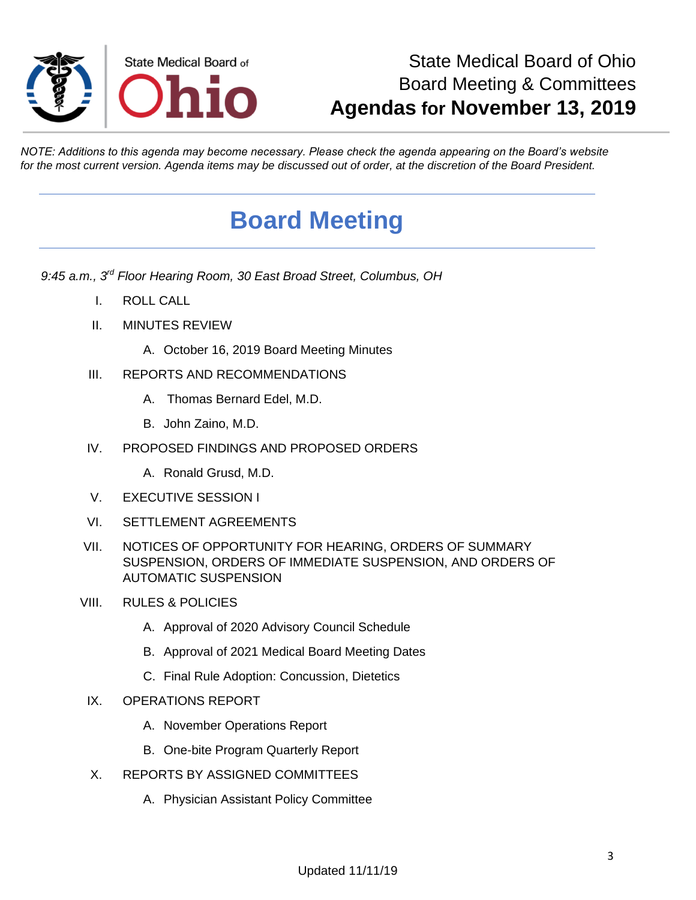

# State Medical Board of Ohio Board Meeting & Committees **Agendas for November 13, 2019**

*NOTE: Additions to this agenda may become necessary. Please check the agenda appearing on the Board's website for the most current version. Agenda items may be discussed out of order, at the discretion of the Board President.*

# **Board Meeting**

*9:45 a.m., 3rd Floor Hearing Room, 30 East Broad Street, Columbus, OH*

- I. ROLL CALL
- II. MINUTES REVIEW
	- A. October 16, 2019 Board Meeting Minutes
- III. REPORTS AND RECOMMENDATIONS
	- A. Thomas Bernard Edel, M.D.
	- B. John Zaino, M.D.
- IV. PROPOSED FINDINGS AND PROPOSED ORDERS
	- A. Ronald Grusd, M.D.
- V. EXECUTIVE SESSION I
- VI. SETTLEMENT AGREEMENTS
- VII. NOTICES OF OPPORTUNITY FOR HEARING, ORDERS OF SUMMARY SUSPENSION, ORDERS OF IMMEDIATE SUSPENSION, AND ORDERS OF AUTOMATIC SUSPENSION
- VIII. RULES & POLICIES
	- A. Approval of 2020 Advisory Council Schedule
	- B. Approval of 2021 Medical Board Meeting Dates
	- C. Final Rule Adoption: Concussion, Dietetics
	- IX. OPERATIONS REPORT
		- A. November Operations Report
		- B. One-bite Program Quarterly Report
	- X. REPORTS BY ASSIGNED COMMITTEES
		- A. Physician Assistant Policy Committee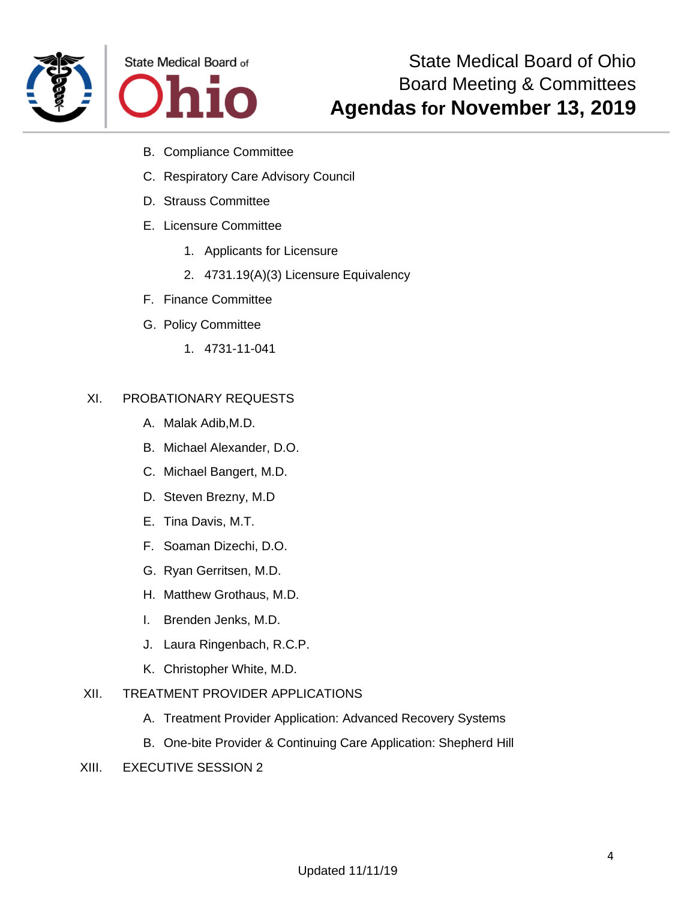



- B. Compliance Committee
- C. Respiratory Care Advisory Council
- D. Strauss Committee
- E. Licensure Committee
	- 1. Applicants for Licensure
	- 2. 4731.19(A)(3) Licensure Equivalency
- F. Finance Committee
- G. Policy Committee
	- 1. 4731-11-041

### XI. PROBATIONARY REQUESTS

- A. Malak Adib,M.D.
- B. Michael Alexander, D.O.
- C. Michael Bangert, M.D.
- D. Steven Brezny, M.D
- E. Tina Davis, M.T.
- F. Soaman Dizechi, D.O.
- G. Ryan Gerritsen, M.D.
- H. Matthew Grothaus, M.D.
- I. Brenden Jenks, M.D.
- J. Laura Ringenbach, R.C.P.
- K. Christopher White, M.D.

### XII. TREATMENT PROVIDER APPLICATIONS

- A. Treatment Provider Application: Advanced Recovery Systems
- B. One-bite Provider & Continuing Care Application: Shepherd Hill

#### XIII. EXECUTIVE SESSION 2